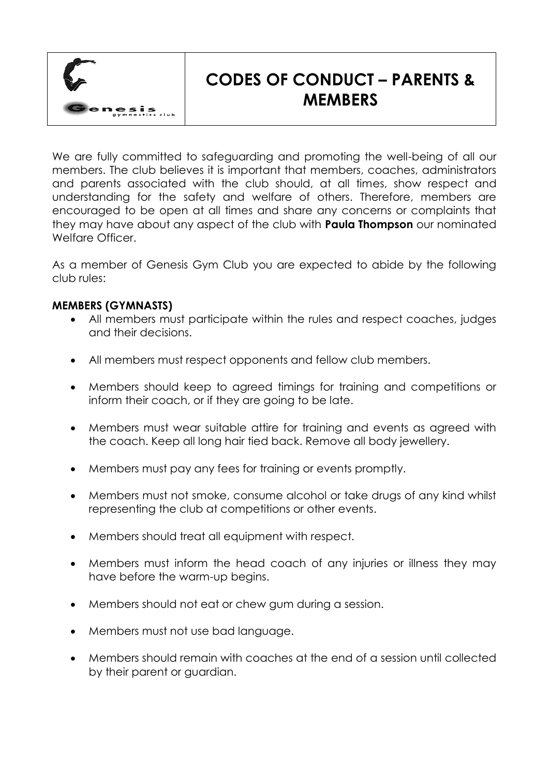

## **CODES OF CONDUCT – PARENTS & MEMBERS**

We are fully committed to safeguarding and promoting the well-being of all our members. The club believes it is important that members, coaches, administrators and parents associated with the club should, at all times, show respect and understanding for the safety and welfare of others. Therefore, members are encouraged to be open at all times and share any concerns or complaints that they may have about any aspect of the club with **Paula Thompson** our nominated Welfare Officer.

As a member of Genesis Gym Club you are expected to abide by the following club rules:

## **MEMBERS (GYMNASTS)**

- All members must participate within the rules and respect coaches, judges and their decisions.
- All members must respect opponents and fellow club members.
- Members should keep to agreed timings for training and competitions or inform their coach, or if they are going to be late.
- Members must wear suitable attire for training and events as agreed with the coach. Keep all long hair tied back. Remove all body jewellery.
- Members must pay any fees for training or events promptly.
- Members must not smoke, consume alcohol or take drugs of any kind whilst representing the club at competitions or other events.
- Members should treat all equipment with respect.
- Members must inform the head coach of any injuries or illness they may have before the warm-up begins.
- Members should not eat or chew gum during a session.
- Members must not use bad language.
- Members should remain with coaches at the end of a session until collected by their parent or guardian.